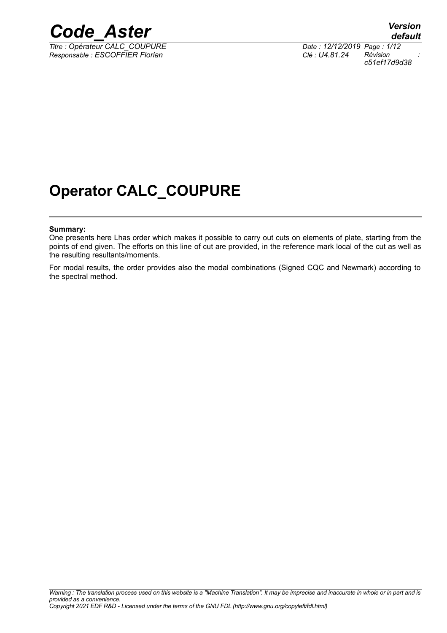

*Titre : Opérateur CALC\_COUPURE Date : 12/12/2019 Page : 1/12 Responsable : ESCOFFIER Florian Clé : U4.81.24 Révision :*

*c51ef17d9d38*

### **Operator CALC\_COUPURE**

#### **Summary:**

One presents here Lhas order which makes it possible to carry out cuts on elements of plate, starting from the points of end given. The efforts on this line of cut are provided, in the reference mark local of the cut as well as the resulting resultants/moments.

For modal results, the order provides also the modal combinations (Signed CQC and Newmark) according to the spectral method.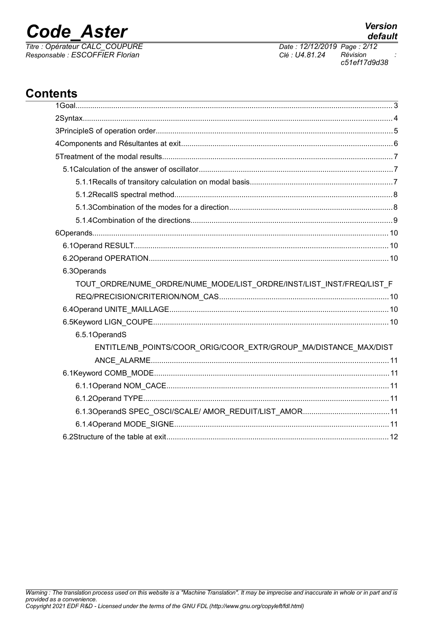# **Code Aster**

Titre : Opérateur CALC\_COUPURE<br>Responsable : ESCOFFIER Florian

Date: 12/12/2019 Page: 2/12 Clé : U4.81.24 Révision c51ef17d9d38

### **Contents**

| 6.3Operands                                                           |
|-----------------------------------------------------------------------|
| TOUT_ORDRE/NUME_ORDRE/NUME_MODE/LIST_ORDRE/INST/LIST_INST/FREQ/LIST_F |
|                                                                       |
|                                                                       |
|                                                                       |
| 6.5.1OperandS                                                         |
| ENTITLE/NB_POINTS/COOR_ORIG/COOR_EXTR/GROUP_MA/DISTANCE_MAX/DIST      |
|                                                                       |
|                                                                       |
|                                                                       |
|                                                                       |
|                                                                       |
|                                                                       |
|                                                                       |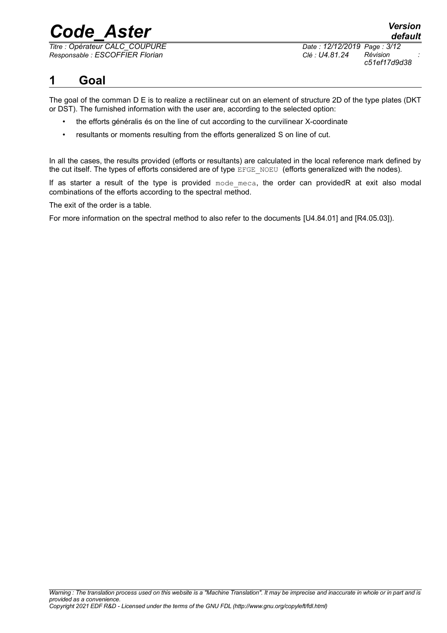*Titre : Opérateur CALC\_COUPURE Date : 12/12/2019 Page : 3/12 Responsable : ESCOFFIER Florian Clé : U4.81.24 Révision :*

*c51ef17d9d38*

### **1 Goal**

The goal of the comman D E is to realize a rectilinear cut on an element of structure 2D of the type plates (DKT or DST). The furnished information with the user are, according to the selected option:

- the efforts généralis és on the line of cut according to the curvilinear X-coordinate
- resultants or moments resulting from the efforts generalized S on line of cut.

In all the cases, the results provided (efforts or resultants) are calculated in the local reference mark defined by the cut itself. The types of efforts considered are of type EFGE\_NOEU (efforts generalized with the nodes).

If as starter a result of the type is provided  $_{\text{mode}}$   $_{\text{meca}}$ , the order can providedR at exit also modal combinations of the efforts according to the spectral method.

The exit of the order is a table.

For more information on the spectral method to also refer to the documents [U4.84.01] and [R4.05.03]).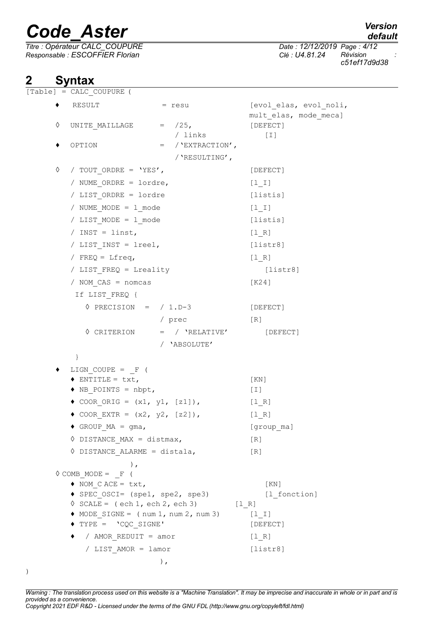*Titre : Opérateur CALC\_COUPURE Date : 12/12/2019 Page : 4/12 Responsable : ESCOFFIER Florian Clé : U4.81.24 Révision :*

## **2 Syntax**<br> **Example 1 = CALC 6**

 $=$  CALC COUPURE (

*c51ef17d9d38*

|   | $\sim$ 110 $\sim$ 0001010                                                    |                     |                                                 |
|---|------------------------------------------------------------------------------|---------------------|-------------------------------------------------|
|   | RESULT                                                                       | = resu              | [evol elas, evol noli,<br>mult elas, mode meca] |
| ♦ | UNITE MAILLAGE $=$ /25,                                                      |                     | [DEFECT]                                        |
|   |                                                                              | / links             | $[1]$                                           |
| ٠ | OPTION                                                                       | $=$ / 'EXTRACTION', |                                                 |
|   |                                                                              | /'RESULTING',       |                                                 |
| ♦ | / TOUT ORDRE = $'YES'$ ,                                                     |                     | [DEFECT]                                        |
|   | / NUME ORDRE = lordre,                                                       |                     | $[1 1]$                                         |
|   | / LIST ORDRE = lordre                                                        |                     | [listis]                                        |
|   | / NUME MODE = 1 mode                                                         |                     | $[1_1]$                                         |
|   | / LIST MODE = 1 mode                                                         |                     | [listis]                                        |
|   | / INST = linst,                                                              |                     | [1 R]                                           |
|   | / LIST INST = lreel,                                                         |                     | [liststr8]                                      |
|   | / FREQ = Lfreq,                                                              |                     | $[1 R]$                                         |
|   | / LIST FREQ = Lreality                                                       |                     | [liststr8]                                      |
|   | / NOM CAS = nomcas                                                           |                     | [K24]                                           |
|   | If LIST_FREQ {                                                               |                     |                                                 |
|   | $\Diamond$ PRECISION = / 1.D-3                                               |                     | [DEFECT]                                        |
|   |                                                                              | / prec              | [R]                                             |
|   | $\Diamond$ CRITERION                                                         | $=$ / $'$ RELATIVE' | [DEFECT]                                        |
|   |                                                                              | / 'ABSOLUTE'        |                                                 |
|   | $\}$                                                                         |                     |                                                 |
|   | LIGN COUPE = $F$ (                                                           |                     |                                                 |
|   | $\bullet$ ENTITLE = txt,                                                     |                     | [KN]                                            |
|   | $\bullet$ NB POINTS = nbpt,                                                  |                     | $[1]$                                           |
|   | ◆ COOR ORIG = $(x1, y1, [z1])$ ,                                             |                     | $[1_R]$                                         |
|   | ◆ COOR EXTR = $(x2, y2, [z2])$ ,                                             |                     | $[1_R]$                                         |
|   | $\bullet$ GROUP MA = gma,                                                    |                     | [group ma]                                      |
|   | $\lozenge$ DISTANCE MAX = distmax,                                           |                     | [R]                                             |
|   | $\Diamond$ DISTANCE ALARME = distala,                                        |                     | [R]                                             |
|   | $\,$ ,                                                                       |                     |                                                 |
|   | $\Diamond$ COMB MODE = F (                                                   |                     |                                                 |
|   | $\bullet$ NOM CACE = txt,                                                    |                     | KN                                              |
|   | SPEC OSCI= (spe1, spe2, spe3)<br>$\Diamond$ SCALE = (ech 1, ech 2, ech 3)    |                     | [1 fonction]                                    |
|   | $\blacklozenge$ MODE SIGNE = $(\text{num } 1, \text{num } 2, \text{num } 3)$ |                     | [1 R]<br>$[1 1]$                                |
|   | $\blacklozenge$ TYPE = $\lnot$ CQC SIGNE'                                    |                     | [DEFECT]                                        |
|   | $\bullet$ / AMOR REDUIT = amor                                               |                     | [1 R]                                           |
|   | / LIST AMOR = lamor                                                          |                     | [liststr8]                                      |
|   |                                                                              | $)$ ,               |                                                 |
|   |                                                                              |                     |                                                 |

*Warning : The translation process used on this website is a "Machine Translation". It may be imprecise and inaccurate in whole or in part and is provided as a convenience. Copyright 2021 EDF R&D - Licensed under the terms of the GNU FDL (http://www.gnu.org/copyleft/fdl.html)*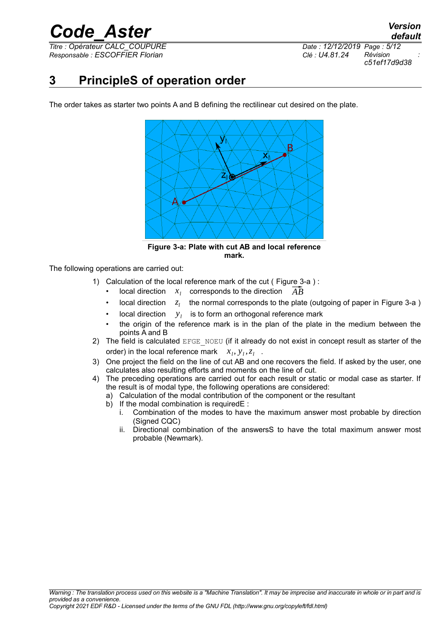*Titre : Opérateur CALC\_COUPURE Date : 12/12/2019 Page : 5/12 Responsable : ESCOFFIER Florian Clé : U4.81.24 Révision :*

*c51ef17d9d38*

### **3 PrincipleS of operation order**

The order takes as starter two points A and B defining the rectilinear cut desired on the plate.



**Figure 3-a: Plate with cut AB and local reference mark.**

The following operations are carried out:

- <span id="page-4-0"></span>1) Calculation of the local reference mark of the cut ( [Figure 3-a](#page-4-0) ) : Calculation of the local reference mark of the cut ( Figure 3<br>
• local direction  $x_l$  corresponds to the direction  $\overrightarrow{AB}$ 
	-
	- local direction *z<sup>l</sup>* the normal corresponds to the plate (outgoing of paper in [Figure 3-a](#page-4-0) )
	- local direction  $y_l$  is to form an orthogonal reference mark
	- the origin of the reference mark is in the plan of the plate in the medium between the points A and B
- 2) The field is calculated  $EFE$   $NOEU$  (if it already do not exist in concept result as starter of the order) in the local reference mark  $x_i, y_i, z_i$ .
- 3) One project the field on the line of cut AB and one recovers the field. If asked by the user, one calculates also resulting efforts and moments on the line of cut.
- <span id="page-4-1"></span>4) The preceding operations are carried out for each result or static or modal case as starter. If the result is of modal type, the following operations are considered:
	- a) Calculation of the modal contribution of the component or the resultant
	- b) If the modal combination is requiredE :
		- i. Combination of the modes to have the maximum answer most probable by direction (Signed CQC)
		- ii. Directional combination of the answersS to have the total maximum answer most probable (Newmark).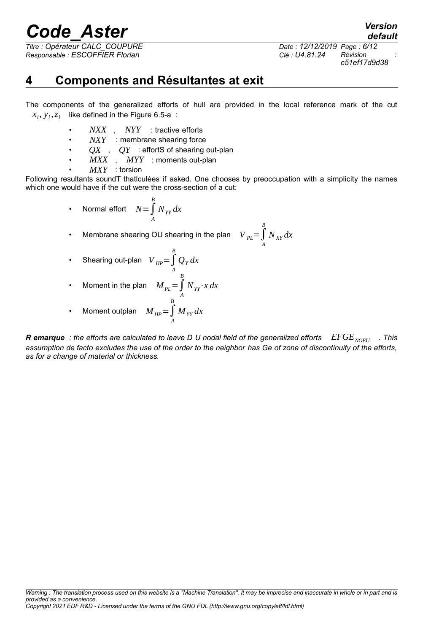*Titre : Opérateur CALC\_COUPURE Date : 12/12/2019 Page : 6/12 Responsable : ESCOFFIER Florian Clé : U4.81.24 Révision :*

*c51ef17d9d38*

*default*

### <span id="page-5-0"></span>**4 Components and Résultantes at exit**

The components of the generalized efforts of hull are provided in the local reference mark of the cut  $x_i, y_i, z_i$  like defined in the Figure [6.5-a](#page-9-0) :

- *NXX* , *NYY* : tractive efforts
- **NXY** : membrane shearing force
- *QX* , *QY* : effortS of shearing out-plan
- *MXX* , *MYY* : moments out-plan
- *MXY* : torsion

Following resultants soundT thatlculées if asked. One chooses by preoccupation with a simplicity the names which one would have if the cut were the cross-section of a cut:

> • Normal effort  $N = \int\limits_{B}^{B}$ *A NYY dx*

• Membrane shearing OU shearing in the plan  $\quad$   $V_{PL} = \int\limits_{0}^{B}$ *A*  $N_{XY}$ *dx* 

• Shearing out-plan  $\left|V\right|_{H^p} = \int\limits^B$ *A*  $Q_Y$ *dx* 

• Moment in the plan 
$$
M_{PL} = \int_{A}^{B} N_{YY} \cdot x \, dx
$$

• Moment outplan 
$$
M_{HP} = \int_{A}^{B} M_{YY} dx
$$

*R* **emarque** *:* the efforts are calculated to leave D U nodal field of the generalized efforts  $EFGE<sub>NOTE</sub>$ . This *assumption de facto excludes the use of the order to the neighbor has Ge of zone of discontinuity of the efforts, as for a change of material or thickness.*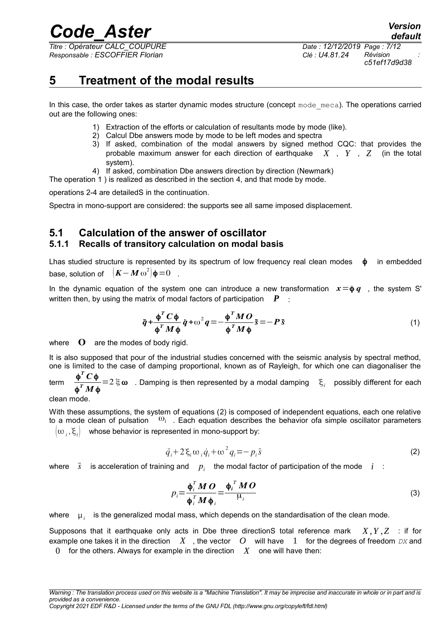*Titre : Opérateur CALC\_COUPURE Date : 12/12/2019 Page : 7/12 Responsable : ESCOFFIER Florian Clé : U4.81.24 Révision :*

*c51ef17d9d38*

### **5 Treatment of the modal results**

In this case, the order takes as starter dynamic modes structure (concept  $\text{mode}$   $\text{meca}$ ). The operations carried out are the following ones:

- <span id="page-6-3"></span>1) Extraction of the efforts or calculation of resultants mode by mode (like).
- <span id="page-6-2"></span>2) Calcul Dbe answers mode by mode to be left modes and spectra
- 3) If asked, combination of the modal answers by signed method CQC: that provides the probable maximum answer for each direction of earthquake *X* , *Y* , *Z* (in the total system).
- <span id="page-6-1"></span>4) If asked, combination Dbe answers direction by direction (Newmark)
- The operation [1](#page-6-3) ) is realized as described in the section [4,](#page-5-0) and that mode by mode.

operations [2-](#page-6-2)[4](#page-6-1) are detailedS in the continuation.

Spectra in mono-support are considered: the supports see all same imposed displacement.

### **5.1 Calculation of the answer of oscillator 5.1.1 Recalls of transitory calculation on modal basis**

Lhas studied structure is represented by its spectrum of low frequency real clean modes  $\phi$  in embedded base, solution of <sup>2</sup>) $\phi$  = 0  $\theta$ .

In the dynamic equation of the system one can introduce a new transformation  $x = \phi q$ , the system S' written then, by using the matrix of modal factors of participation *P* :

$$
\ddot{q} + \frac{\phi^T C \phi}{\phi^T M \phi} \dot{q} + \omega^2 q = -\frac{\phi^T M O}{\phi^T M \phi} \ddot{s} = -P \ddot{s}
$$
\n(1)

where  $\mathbf{O}$  are the modes of body rigid.

It is also supposed that pour of the industrial studies concerned with the seismic analysis by spectral method, one is limited to the case of damping proportional, known as of Rayleigh, for which one can diagonaliser the

term φ *T C*φ  $\frac{\Psi}{\Phi}$  = 2 ξ ω . Damping is then represented by a modal damping  $\sum_i$  possibly different for each  $\frac{\Psi}{\Phi}$  *M*  $\Phi$ 

clean mode.

With these assumptions, the system of equations [\(2\)](#page-6-0) is composed of independent equations, each one relative to a mode clean of pulsation  $\omega_i$ . Each equation describes the behavior ofa simple oscillator parameters  $\left[\omega_i,\xi_i\right]$ whose behavior is represented in mono-support by:

$$
\ddot{q}_i + 2\xi_i \omega_i \dot{q}_i + \omega^2 q_i = -p_i \ddot{s}
$$
 (2)

where  $\|\ddot{s}\|$  is acceleration of training and  $\|p_i\|$  the modal factor of participation of the mode  $\|i\|$  :

<span id="page-6-0"></span>
$$
p_i = \frac{\boldsymbol{\phi}_i^T \boldsymbol{M} \boldsymbol{O}}{\boldsymbol{\phi}_i^T \boldsymbol{M} \boldsymbol{\phi}_i} = \frac{\boldsymbol{\phi}_i^T \boldsymbol{M} \boldsymbol{O}}{\mu_i}
$$
(3)

where  $\|\mu_i\|$  is the generalized modal mass, which depends on the standardisation of the clean mode.

Supposons that it earthquake only acts in Dbe three directionS total reference mark *X ,Y ,Z* : if for example one takes it in the direction *X* , the vector *O* will have 1 for the degrees of freedom *DX* and

0 for the others. Always for example in the direction  $X$  one will have then: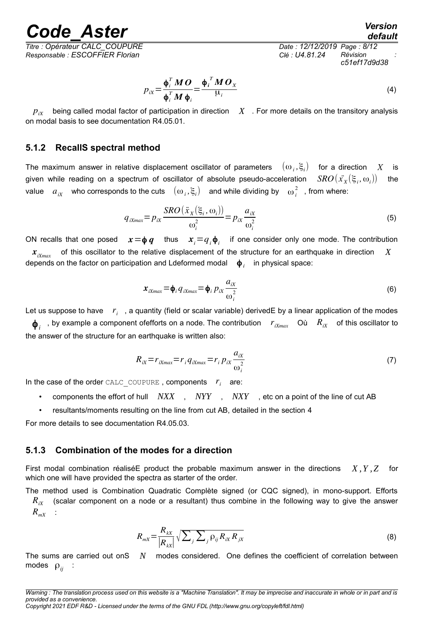*Titre : Opérateur CALC\_COUPURE Date : 12/12/2019 Page : 8/12 Responsable : ESCOFFIER Florian Clé : U4.81.24 Révision :*

*Code\_Aster Version default*

*c51ef17d9d38*

$$
p_{ix} = \frac{\boldsymbol{\phi}_i^T \boldsymbol{M} \boldsymbol{O}}{\boldsymbol{\phi}_i^T \boldsymbol{M} \boldsymbol{\phi}_i} = \frac{\boldsymbol{\phi}_i^T \boldsymbol{M} \boldsymbol{O}_X}{\mu_i}
$$
(4)

 $p_{ix}$  being called modal factor of participation in direction  $X$ . For more details on the transitory analysis on modal basis to see documentation R4.05.01.

#### **5.1.2 RecallS spectral method**

The maximum answer in relative displacement oscillator of parameters  $(\omega_i,\xi_i)$  for a direction  $X$  is given while reading on a spectrum of oscillator of absolute pseudo-acceleration  $SRO(\tilde{x_{_X}}(\xi_i,\omega_i))$ the value  $a_{ix}$  who corresponds to the cuts  $(\omega_i, \xi_i)$  and while dividing by  $\omega_i^2$ , from where:

$$
q_{iXmax} = p_{ix} \frac{SRO(\ddot{x}_X(\xi_i, \omega_i))}{\omega_i^2} = p_{ix} \frac{a_{ix}}{\omega_i^2}
$$
(5)

ON recalls that one posed  $x = \phi q$  thus  $x_i = q_i \phi_i$  if one consider only one mode. The contribution  $x_{iX_{max}}$  of this oscillator to the relative displacement of the structure for an earthquake in direction *X* depends on the factor on participation and Ldeformed modal  $\phi_i$  in physical space:

$$
\boldsymbol{x}_{iXmax} = \boldsymbol{\phi}_i \, \boldsymbol{q}_{iXmax} = \boldsymbol{\phi}_i \, \boldsymbol{p}_{iX} \frac{\boldsymbol{a}_{iX}}{\omega_i^2} \tag{6}
$$

Let us suppose to have  $\|r_i\|$ , a quantity (field or scalar variable) derivedE by a linear application of the modes

 $\pmb{\phi}_i$  , by example a component ofefforts on a node. The contribution  $r_{iXmax}$  Où  $R_{iX}$  of this oscillator to the answer of the structure for an earthquake is written also:

$$
R_{ix} = r_{ixmax} = r_i q_{ixmax} = r_i p_{ix} \frac{a_{ix}}{\omega_i^2}
$$
 (7)

In the case of the order  $\text{CALC\_COUPURE}$ , components  $r_i$  are:

- components the effort of hull *NXX* , *NYY* , *NXY* , etc on a point of the line of cut AB
- resultants/moments resulting on the line from cut AB, detailed in the section [4](#page-4-1)

For more details to see documentation R4.05.03.

#### **5.1.3 Combination of the modes for a direction**

First modal combination réaliséE product the probable maximum answer in the directions *X ,Y ,Z* for which one will have provided the spectra as starter of the order.

The method used is Combination Quadratic Complète signed (or CQC signed), in mono-support. Efforts  $R_{ix}$  (scalar component on a node or a resultant) thus combine in the following way to give the answer  $R_{mX}$  :

$$
R_{mx} = \frac{R_{kX}}{|R_{kX}|} \sqrt{\sum_j \sum_j \rho_{ij} R_{iX} R_{jX}}
$$
(8)

The sums are carried out onS *N* modes considered. One defines the coefficient of correlation between modes ρ*ij* :

*Warning : The translation process used on this website is a "Machine Translation". It may be imprecise and inaccurate in whole or in part and is provided as a convenience.*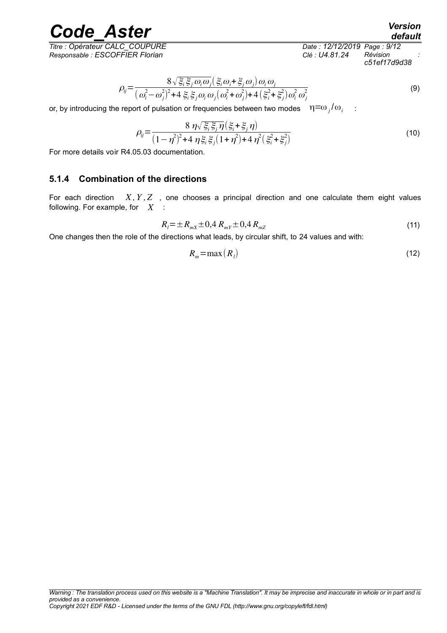*Titre : Opérateur CALC\_COUPURE Date : 12/12/2019 Page : 9/12 Responsable : ESCOFFIER Florian Clé : U4.81.24 Révision :*

*c51ef17d9d38*

*default*

$$
\rho_{ij} = \frac{8\sqrt{\xi_i \xi_j \omega_i \omega_j} (\xi_i \omega_i + \xi_j \omega_j) \omega_i \omega_j}{(\omega_i^2 - \omega_j^2)^2 + 4 \xi_i \xi_j \omega_i \omega_j (\omega_i^2 + \omega_j^2) + 4 (\xi_i^2 + \xi_j^2) \omega_i^2 \omega_j^2}
$$
\n(9)

or, by introducing the report of pulsation or frequencies between two modes  $η = ω_j/ω_i$ :

$$
\rho_{ij} = \frac{8 \eta \sqrt{\xi_i \xi_j \eta} (\xi_i + \xi_j \eta)}{(1 - \eta^2)^2 + 4 \eta \xi_i \xi_j (1 + \eta^2) + 4 \eta^2 (\xi_i^2 + \xi_j^2)}
$$
(10)

For more details voir R4.05.03 documentation.

### **5.1.4 Combination of the directions**

For each direction  $X, Y, Z$ , one chooses a principal direction and one calculate them eight values following. For example, for *X* :

$$
R_{l} = \pm R_{m} \pm 0.4 R_{m} \pm 0.4 R_{m} \tag{11}
$$

One changes then the role of the directions what leads, by circular shift, to 24 values and with:

$$
R_m = \max(R_l) \tag{12}
$$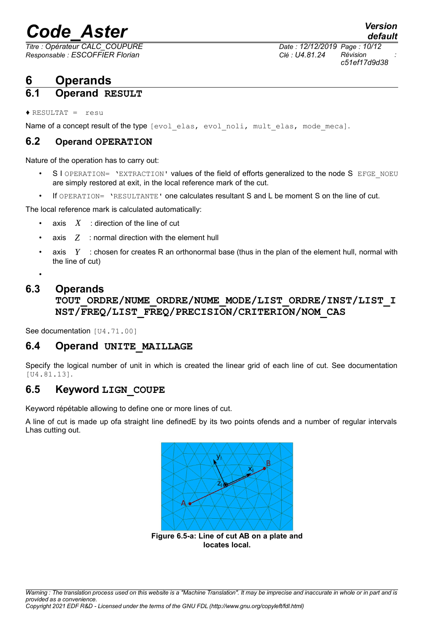*Responsable : ESCOFFIER Florian Clé : U4.81.24 Révision :*

*Titre : Opérateur CALC\_COUPURE Date : 12/12/2019 Page : 10/12 c51ef17d9d38*

*default*

### **6 Operands**

### **6.1 Operand RESULT**

 $\triangle$  RESULTAT = resu

Name of a concept result of the type [evol elas, evol noli, mult elas, mode meca].

### **6.2 Operand OPERATION**

Nature of the operation has to carry out:

- S I OPERATION= 'EXTRACTION' values of the field of efforts generalized to the node S EFGE\_NOEU are simply restored at exit, in the local reference mark of the cut.
- If OPERATION= 'RESULTANTE' one calculates resultant S and L be moment S on the line of cut.

The local reference mark is calculated automatically:

- axis  $X$  : direction of the line of cut
- axis *Z* : normal direction with the element hull
- axis *Y* : chosen for creates R an orthonormal base (thus in the plan of the element hull, normal with the line of cut)
- •

### **6.3 Operands**

**TOUT\_ORDRE/NUME\_ORDRE/NUME\_MODE/LIST\_ORDRE/INST/LIST\_I NST/FREQ/LIST\_FREQ/PRECISION/CRITERION/NOM\_CAS**

See documentation [U4.71.00]

### **6.4 Operand UNITE\_MAILLAGE**

Specify the logical number of unit in which is created the linear grid of each line of cut. See documentation [U4.81.13].

### **6.5 Keyword LIGN\_COUPE**

Keyword répétable allowing to define one or more lines of cut.

A line of cut is made up ofa straight line definedE by its two points ofends and a number of regular intervals Lhas cutting out.

<span id="page-9-0"></span>

**Figure 6.5-a: Line of cut AB on a plate and locates local.**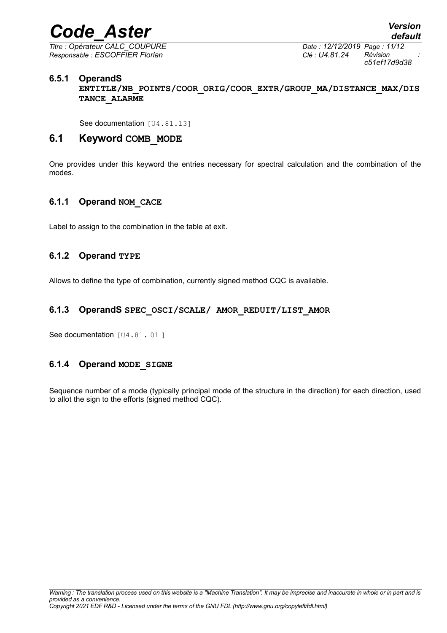*Titre : Opérateur CALC\_COUPURE Date : 12/12/2019 Page : 11/12 Responsable : ESCOFFIER Florian Clé : U4.81.24 Révision :*

### **6.5.1 OperandS**

**ENTITLE/NB\_POINTS/COOR\_ORIG/COOR\_EXTR/GROUP\_MA/DISTANCE\_MAX/DIS TANCE\_ALARME**

See documentation [U4.81.13]

### **6.1 Keyword COMB\_MODE**

One provides under this keyword the entries necessary for spectral calculation and the combination of the modes.

### **6.1.1 Operand NOM\_CACE**

Label to assign to the combination in the table at exit.

### **6.1.2 Operand TYPE**

Allows to define the type of combination, currently signed method CQC is available.

### **6.1.3 OperandS SPEC\_OSCI/SCALE/ AMOR\_REDUIT/LIST\_AMOR**

See documentation [U4.81.01]

### **6.1.4 Operand MODE\_SIGNE**

Sequence number of a mode (typically principal mode of the structure in the direction) for each direction, used to allot the sign to the efforts (signed method CQC).